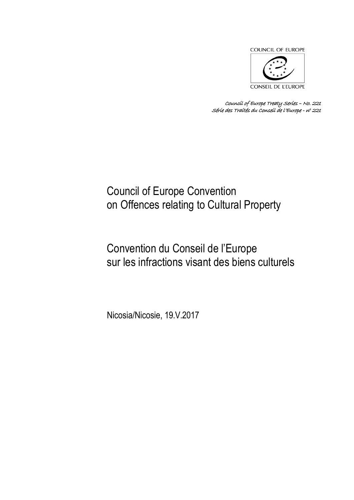

*Council of Europe Treaty Series – No. 221 Série des Traités du Conseil de l'Europe - n<sup>o</sup> 221*

# Council of Europe Convention on Offences relating to Cultural Property

# Convention du Conseil de l'Europe sur les infractions visant des biens culturels

Nicosia/Nicosie, 19.V.2017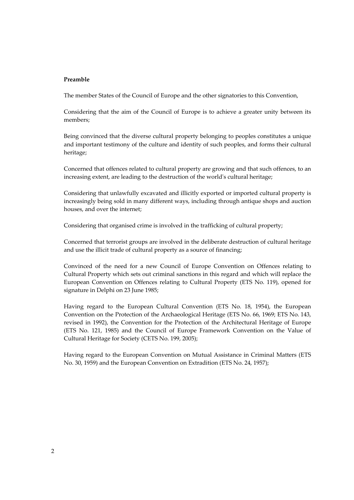#### **Preamble**

The member States of the Council of Europe and the other signatories to this Convention,

Considering that the aim of the Council of Europe is to achieve a greater unity between its members;

Being convinced that the diverse cultural property belonging to peoples constitutes a unique and important testimony of the culture and identity of such peoples, and forms their cultural heritage;

Concerned that offences related to cultural property are growing and that such offences, to an increasing extent, are leading to the destruction of the world's cultural heritage;

Considering that unlawfully excavated and illicitly exported or imported cultural property is increasingly being sold in many different ways, including through antique shops and auction houses, and over the internet;

Considering that organised crime is involved in the trafficking of cultural property;

Concerned that terrorist groups are involved in the deliberate destruction of cultural heritage and use the illicit trade of cultural property as a source of financing;

Convinced of the need for a new Council of Europe Convention on Offences relating to Cultural Property which sets out criminal sanctions in this regard and which will replace the European Convention on Offences relating to Cultural Property (ETS No. 119), opened for signature in Delphi on 23 June 1985;

Having regard to the European Cultural Convention (ETS No. 18, 1954), the European Convention on the Protection of the Archaeological Heritage (ETS No. 66, 1969; ETS No. 143, revised in 1992), the Convention for the Protection of the Architectural Heritage of Europe (ETS No. 121, 1985) and the Council of Europe Framework Convention on the Value of Cultural Heritage for Society (CETS No. 199, 2005);

Having regard to the European Convention on Mutual Assistance in Criminal Matters (ETS No. 30, 1959) and the European Convention on Extradition (ETS No. 24, 1957);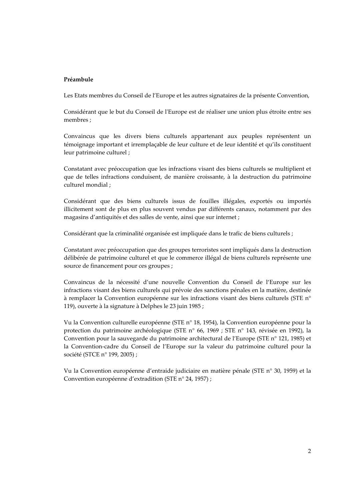#### **Préambule**

Les Etats membres du Conseil de l'Europe et les autres signataires de la présente Convention,

Considérant que le but du Conseil de l'Europe est de réaliser une union plus étroite entre ses membres ;

Convaincus que les divers biens culturels appartenant aux peuples représentent un témoignage important et irremplaçable de leur culture et de leur identité et qu'ils constituent leur patrimoine culturel ;

Constatant avec préoccupation que les infractions visant des biens culturels se multiplient et que de telles infractions conduisent, de manière croissante, à la destruction du patrimoine culturel mondial ;

Considérant que des biens culturels issus de fouilles illégales, exportés ou importés illicitement sont de plus en plus souvent vendus par différents canaux, notamment par des magasins d'antiquités et des salles de vente, ainsi que sur internet ;

Considérant que la criminalité organisée est impliquée dans le trafic de biens culturels ;

Constatant avec préoccupation que des groupes terroristes sont impliqués dans la destruction délibérée de patrimoine culturel et que le commerce illégal de biens culturels représente une source de financement pour ces groupes ;

Convaincus de la nécessité d'une nouvelle Convention du Conseil de l'Europe sur les infractions visant des biens culturels qui prévoie des sanctions pénales en la matière, destinée à remplacer la Convention européenne sur les infractions visant des biens culturels (STE n° 119), ouverte à la signature à Delphes le 23 juin 1985 ;

Vu la Convention culturelle européenne (STE n° 18, 1954), la Convention européenne pour la protection du patrimoine archéologique (STE n° 66, 1969 ; STE n° 143, révisée en 1992), la Convention pour la sauvegarde du patrimoine architectural de l'Europe (STE n° 121, 1985) et la Convention-cadre du Conseil de l'Europe sur la valeur du patrimoine culturel pour la société (STCE n° 199, 2005) ;

Vu la Convention européenne d'entraide judiciaire en matière pénale (STE n° 30, 1959) et la Convention européenne d'extradition (STE n° 24, 1957) ;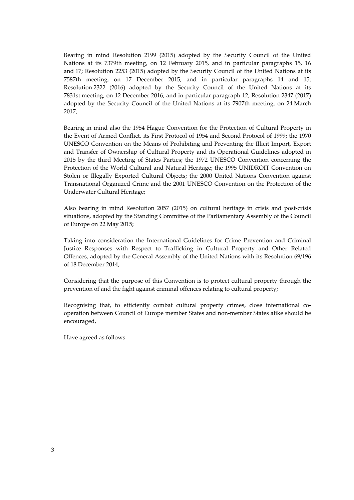Bearing in mind Resolution 2199 (2015) adopted by the Security Council of the United Nations at its 7379th meeting, on 12 February 2015, and in particular paragraphs 15, 16 and 17; Resolution 2253 (2015) adopted by the Security Council of the United Nations at its 7587th meeting, on 17 December 2015, and in particular paragraphs 14 and 15; Resolution 2322 (2016) adopted by the Security Council of the United Nations at its 7831st meeting, on 12 December 2016, and in particular paragraph 12; Resolution 2347 (2017) adopted by the Security Council of the United Nations at its 7907th meeting, on 24 March 2017;

Bearing in mind also the 1954 Hague Convention for the Protection of Cultural Property in the Event of Armed Conflict, its First Protocol of 1954 and Second Protocol of 1999; the 1970 UNESCO Convention on the Means of Prohibiting and Preventing the Illicit Import, Export and Transfer of Ownership of Cultural Property and its Operational Guidelines adopted in 2015 by the third Meeting of States Parties; the 1972 UNESCO Convention concerning the Protection of the World Cultural and Natural Heritage; the 1995 UNIDROIT Convention on Stolen or Illegally Exported Cultural Objects; the 2000 United Nations Convention against Transnational Organized Crime and the 2001 UNESCO Convention on the Protection of the Underwater Cultural Heritage;

Also bearing in mind Resolution 2057 (2015) on cultural heritage in crisis and post-crisis situations, adopted by the Standing Committee of the Parliamentary Assembly of the Council of Europe on 22 May 2015;

Taking into consideration the International Guidelines for Crime Prevention and Criminal Justice Responses with Respect to Trafficking in Cultural Property and Other Related Offences, adopted by the General Assembly of the United Nations with its Resolution 69/196 of 18 December 2014;

Considering that the purpose of this Convention is to protect cultural property through the prevention of and the fight against criminal offences relating to cultural property;

Recognising that, to efficiently combat cultural property crimes, close international cooperation between Council of Europe member States and non-member States alike should be encouraged,

Have agreed as follows: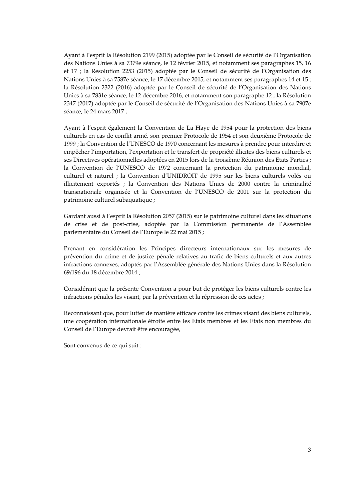Ayant à l'esprit la Résolution 2199 (2015) adoptée par le Conseil de sécurité de l'Organisation des Nations Unies à sa 7379e séance, le 12 février 2015, et notamment ses paragraphes 15, 16 et 17 ; la Résolution 2253 (2015) adoptée par le Conseil de sécurité de l'Organisation des Nations Unies à sa 7587e séance, le 17 décembre 2015, et notamment ses paragraphes 14 et 15 ; la Résolution 2322 (2016) adoptée par le Conseil de sécurité de l'Organisation des Nations Unies à sa 7831e séance, le 12 décembre 2016, et notamment son paragraphe 12 ; la Résolution 2347 (2017) adoptée par le Conseil de sécurité de l'Organisation des Nations Unies à sa 7907e séance, le 24 mars 2017 ;

Ayant à l'esprit également la Convention de La Haye de 1954 pour la protection des biens culturels en cas de conflit armé, son premier Protocole de 1954 et son deuxième Protocole de 1999 ; la Convention de l'UNESCO de 1970 concernant les mesures à prendre pour interdire et empêcher l'importation, l'exportation et le transfert de propriété illicites des biens culturels et ses Directives opérationnelles adoptées en 2015 lors de la troisième Réunion des Etats Parties ; la Convention de l'UNESCO de 1972 concernant la protection du patrimoine mondial, culturel et naturel ; la Convention d'UNIDROIT de 1995 sur les biens culturels volés ou illicitement exportés ; la Convention des Nations Unies de 2000 contre la criminalité transnationale organisée et la Convention de l'UNESCO de 2001 sur la protection du patrimoine culturel subaquatique ;

Gardant aussi à l'esprit la Résolution 2057 (2015) sur le patrimoine culturel dans les situations de crise et de post-crise, adoptée par la Commission permanente de l'Assemblée parlementaire du Conseil de l'Europe le 22 mai 2015 ;

Prenant en considération les Principes directeurs internationaux sur les mesures de prévention du crime et de justice pénale relatives au trafic de biens culturels et aux autres infractions connexes, adoptés par l'Assemblée générale des Nations Unies dans la Résolution 69/196 du 18 décembre 2014 ;

Considérant que la présente Convention a pour but de protéger les biens culturels contre les infractions pénales les visant, par la prévention et la répression de ces actes ;

Reconnaissant que, pour lutter de manière efficace contre les crimes visant des biens culturels, une coopération internationale étroite entre les Etats membres et les Etats non membres du Conseil de l'Europe devrait être encouragée,

Sont convenus de ce qui suit :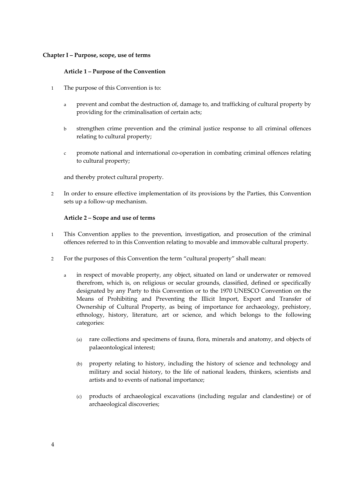#### **Chapter I – Purpose, scope, use of terms**

## **Article 1 – Purpose of the Convention**

- 1 The purpose of this Convention is to:
	- a prevent and combat the destruction of, damage to, and trafficking of cultural property by providing for the criminalisation of certain acts;
	- b strengthen crime prevention and the criminal justice response to all criminal offences relating to cultural property;
	- c promote national and international co-operation in combating criminal offences relating to cultural property;

and thereby protect cultural property.

2 In order to ensure effective implementation of its provisions by the Parties, this Convention sets up a follow-up mechanism.

#### **Article 2 – Scope and use of terms**

- 1 This Convention applies to the prevention, investigation, and prosecution of the criminal offences referred to in this Convention relating to movable and immovable cultural property.
- 2 For the purposes of this Convention the term "cultural property" shall mean:
	- a in respect of movable property, any object, situated on land or underwater or removed therefrom, which is, on religious or secular grounds, classified, defined or specifically designated by any Party to this Convention or to the 1970 UNESCO Convention on the Means of Prohibiting and Preventing the Illicit Import, Export and Transfer of Ownership of Cultural Property, as being of importance for archaeology, prehistory, ethnology, history, literature, art or science, and which belongs to the following categories:
		- (a) rare collections and specimens of fauna, flora, minerals and anatomy, and objects of palaeontological interest;
		- (b) property relating to history, including the history of science and technology and military and social history, to the life of national leaders, thinkers, scientists and artists and to events of national importance;
		- (c) products of archaeological excavations (including regular and clandestine) or of archaeological discoveries;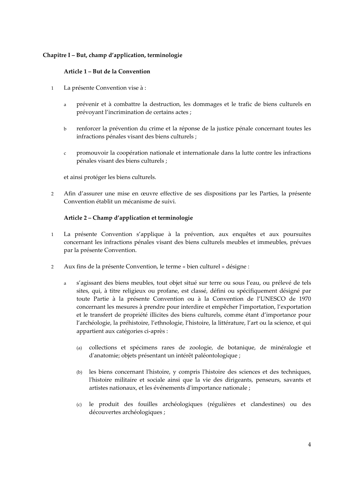## **Chapitre I – But, champ d'application, terminologie**

## **Article 1 – But de la Convention**

- 1 La présente Convention vise à :
	- a prévenir et à combattre la destruction, les dommages et le trafic de biens culturels en prévoyant l'incrimination de certains actes ;
	- b renforcer la prévention du crime et la réponse de la justice pénale concernant toutes les infractions pénales visant des biens culturels ;
	- c promouvoir la coopération nationale et internationale dans la lutte contre les infractions pénales visant des biens culturels ;

et ainsi protéger les biens culturels.

2 Afin d'assurer une mise en œuvre effective de ses dispositions par les Parties, la présente Convention établit un mécanisme de suivi.

## **Article 2 – Champ d'application et terminologie**

- 1 La présente Convention s'applique à la prévention, aux enquêtes et aux poursuites concernant les infractions pénales visant des biens culturels meubles et immeubles, prévues par la présente Convention.
- 2 Aux fins de la présente Convention, le terme « bien culturel » désigne :
	- a s'agissant des biens meubles, tout objet situé sur terre ou sous l'eau, ou prélevé de tels sites, qui, à titre religieux ou profane, est classé, défini ou spécifiquement désigné par toute Partie à la présente Convention ou à la Convention de l'UNESCO de 1970 concernant les mesures à prendre pour interdire et empêcher l'importation, l'exportation et le transfert de propriété illicites des biens culturels, comme étant d'importance pour l'archéologie, la préhistoire, l'ethnologie, l'histoire, la littérature, l'art ou la science, et qui appartient aux catégories ci-après :
		- (a) collections et spécimens rares de zoologie, de botanique, de minéralogie et d'anatomie; objets présentant un intérêt paléontologique ;
		- (b) les biens concernant l'histoire, y compris l'histoire des sciences et des techniques, l'histoire militaire et sociale ainsi que la vie des dirigeants, penseurs, savants et artistes nationaux, et les événements d'importance nationale ;
		- (c) le produit des fouilles archéologiques (régulières et clandestines) ou des découvertes archéologiques ;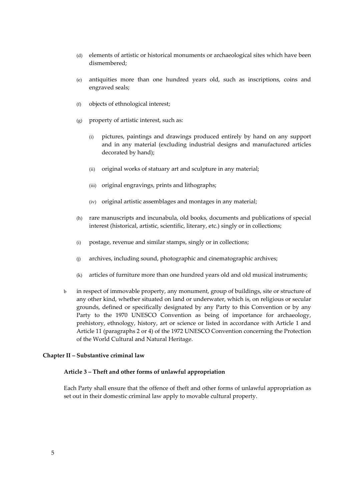- (d) elements of artistic or historical monuments or archaeological sites which have been dismembered;
- (e) antiquities more than one hundred years old, such as inscriptions, coins and engraved seals;
- (f) objects of ethnological interest;
- (g) property of artistic interest, such as:
	- (i) pictures, paintings and drawings produced entirely by hand on any support and in any material (excluding industrial designs and manufactured articles decorated by hand);
	- (ii) original works of statuary art and sculpture in any material;
	- (iii) original engravings, prints and lithographs;
	- (iv) original artistic assemblages and montages in any material;
- (h) rare manuscripts and incunabula, old books, documents and publications of special interest (historical, artistic, scientific, literary, etc.) singly or in collections;
- (i) postage, revenue and similar stamps, singly or in collections;
- (j) archives, including sound, photographic and cinematographic archives;
- (k) articles of furniture more than one hundred years old and old musical instruments;
- b in respect of immovable property, any monument, group of buildings, site or structure of any other kind, whether situated on land or underwater, which is, on religious or secular grounds, defined or specifically designated by any Party to this Convention or by any Party to the 1970 UNESCO Convention as being of importance for archaeology, prehistory, ethnology, history, art or science or listed in accordance with Article 1 and Article 11 (paragraphs 2 or 4) of the 1972 UNESCO Convention concerning the Protection of the World Cultural and Natural Heritage.

#### **Chapter II – Substantive criminal law**

#### **Article 3 – Theft and other forms of unlawful appropriation**

Each Party shall ensure that the offence of theft and other forms of unlawful appropriation as set out in their domestic criminal law apply to movable cultural property.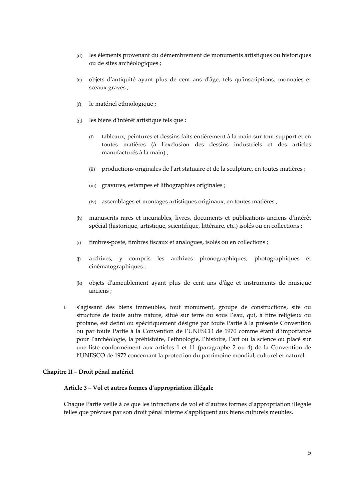- (d) les éléments provenant du démembrement de monuments artistiques ou historiques ou de sites archéologiques ;
- (e) objets d'antiquité ayant plus de cent ans d'âge, tels qu'inscriptions, monnaies et sceaux gravés ;
- (f) le matériel ethnologique ;
- (g) les biens d'intérêt artistique tels que :
	- (i) tableaux, peintures et dessins faits entièrement à la main sur tout support et en toutes matières (à l'exclusion des dessins industriels et des articles manufacturés à la main) ;
	- (ii) productions originales de l'art statuaire et de la sculpture, en toutes matières ;
	- (iii) gravures, estampes et lithographies originales ;
	- (iv) assemblages et montages artistiques originaux, en toutes matières ;
- (h) manuscrits rares et incunables, livres, documents et publications anciens d'intérêt spécial (historique, artistique, scientifique, littéraire, etc.) isolés ou en collections ;
- (i) timbres-poste, timbres fiscaux et analogues, isolés ou en collections ;
- (j) archives, y compris les archives phonographiques, photographiques et cinématographiques ;
- (k) objets d'ameublement ayant plus de cent ans d'âge et instruments de musique anciens ;
- b s'agissant des biens immeubles, tout monument, groupe de constructions, site ou structure de toute autre nature, situé sur terre ou sous l'eau, qui, à titre religieux ou profane, est défini ou spécifiquement désigné par toute Partie à la présente Convention ou par toute Partie à la Convention de l'UNESCO de 1970 comme étant d'importance pour l'archéologie, la préhistoire, l'ethnologie, l'histoire, l'art ou la science ou placé sur une liste conformément aux articles 1 et 11 (paragraphe 2 ou 4) de la Convention de l'UNESCO de 1972 concernant la protection du patrimoine mondial, culturel et naturel.

#### **Chapitre II – Droit pénal matériel**

#### **Article 3 – Vol et autres formes d'appropriation illégale**

Chaque Partie veille à ce que les infractions de vol et d'autres formes d'appropriation illégale telles que prévues par son droit pénal interne s'appliquent aux biens culturels meubles.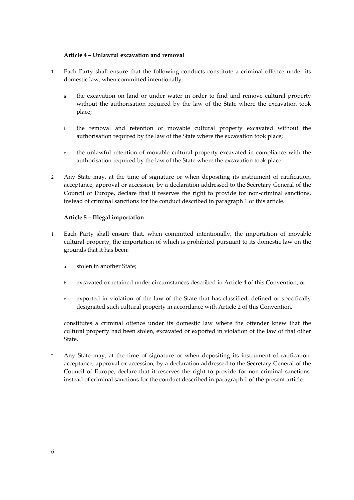## **Article 4 – Unlawful excavation and removal**

- 1 Each Party shall ensure that the following conducts constitute a criminal offence under its domestic law, when committed intentionally:
	- a the excavation on land or under water in order to find and remove cultural property without the authorisation required by the law of the State where the excavation took place;
	- b the removal and retention of movable cultural property excavated without the authorisation required by the law of the State where the excavation took place;
	- c the unlawful retention of movable cultural property excavated in compliance with the authorisation required by the law of the State where the excavation took place.
- 2 Any State may, at the time of signature or when depositing its instrument of ratification, acceptance, approval or accession, by a declaration addressed to the Secretary General of the Council of Europe, declare that it reserves the right to provide for non-criminal sanctions, instead of criminal sanctions for the conduct described in paragraph 1 of this article.

#### **Article 5 – Illegal importation**

- 1 Each Party shall ensure that, when committed intentionally, the importation of movable cultural property, the importation of which is prohibited pursuant to its domestic law on the grounds that it has been:
	- a stolen in another State;
	- b excavated or retained under circumstances described in Article 4 of this Convention; or
	- c exported in violation of the law of the State that has classified, defined or specifically designated such cultural property in accordance with Article 2 of this Convention,

constitutes a criminal offence under its domestic law where the offender knew that the cultural property had been stolen, excavated or exported in violation of the law of that other State.

2 Any State may, at the time of signature or when depositing its instrument of ratification, acceptance, approval or accession, by a declaration addressed to the Secretary General of the Council of Europe, declare that it reserves the right to provide for non-criminal sanctions, instead of criminal sanctions for the conduct described in paragraph 1 of the present article.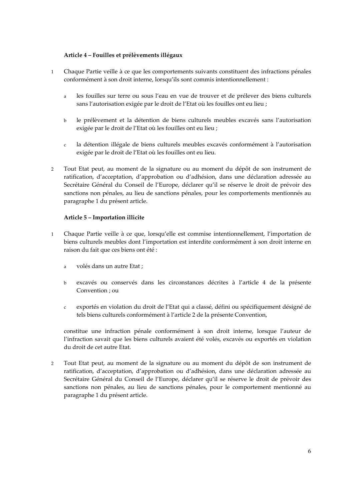## **Article 4 – Fouilles et prélèvements illégaux**

- 1 Chaque Partie veille à ce que les comportements suivants constituent des infractions pénales conformément à son droit interne, lorsqu'ils sont commis intentionnellement :
	- a les fouilles sur terre ou sous l'eau en vue de trouver et de prélever des biens culturels sans l'autorisation exigée par le droit de l'Etat où les fouilles ont eu lieu ;
	- b le prélèvement et la détention de biens culturels meubles excavés sans l'autorisation exigée par le droit de l'Etat où les fouilles ont eu lieu ;
	- c la détention illégale de biens culturels meubles excavés conformément à l'autorisation exigée par le droit de l'Etat où les fouilles ont eu lieu.
- 2 Tout Etat peut, au moment de la signature ou au moment du dépôt de son instrument de ratification, d'acceptation, d'approbation ou d'adhésion, dans une déclaration adressée au Secrétaire Général du Conseil de l'Europe, déclarer qu'il se réserve le droit de prévoir des sanctions non pénales, au lieu de sanctions pénales, pour les comportements mentionnés au paragraphe 1 du présent article.

#### **Article 5 – Importation illicite**

- 1 Chaque Partie veille à ce que, lorsqu'elle est commise intentionnellement, l'importation de biens culturels meubles dont l'importation est interdite conformément à son droit interne en raison du fait que ces biens ont été :
	- a volés dans un autre Etat ;
	- b excavés ou conservés dans les circonstances décrites à l'article 4 de la présente Convention ; ou
	- c exportés en violation du droit de l'Etat qui a classé, défini ou spécifiquement désigné de tels biens culturels conformément à l'article 2 de la présente Convention,

constitue une infraction pénale conformément à son droit interne, lorsque l'auteur de l'infraction savait que les biens culturels avaient été volés, excavés ou exportés en violation du droit de cet autre Etat.

2 Tout Etat peut, au moment de la signature ou au moment du dépôt de son instrument de ratification, d'acceptation, d'approbation ou d'adhésion, dans une déclaration adressée au Secrétaire Général du Conseil de l'Europe, déclarer qu'il se réserve le droit de prévoir des sanctions non pénales, au lieu de sanctions pénales, pour le comportement mentionné au paragraphe 1 du présent article.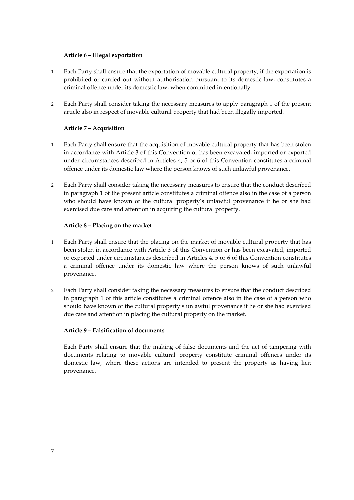## **Article 6 – Illegal exportation**

- 1 Each Party shall ensure that the exportation of movable cultural property, if the exportation is prohibited or carried out without authorisation pursuant to its domestic law, constitutes a criminal offence under its domestic law, when committed intentionally.
- 2 Each Party shall consider taking the necessary measures to apply paragraph 1 of the present article also in respect of movable cultural property that had been illegally imported.

## **Article 7 – Acquisition**

- 1 Each Party shall ensure that the acquisition of movable cultural property that has been stolen in accordance with Article 3 of this Convention or has been excavated, imported or exported under circumstances described in Articles 4, 5 or 6 of this Convention constitutes a criminal offence under its domestic law where the person knows of such unlawful provenance.
- 2 Each Party shall consider taking the necessary measures to ensure that the conduct described in paragraph 1 of the present article constitutes a criminal offence also in the case of a person who should have known of the cultural property's unlawful provenance if he or she had exercised due care and attention in acquiring the cultural property.

#### **Article 8 – Placing on the market**

- 1 Each Party shall ensure that the placing on the market of movable cultural property that has been stolen in accordance with Article 3 of this Convention or has been excavated, imported or exported under circumstances described in Articles 4, 5 or 6 of this Convention constitutes a criminal offence under its domestic law where the person knows of such unlawful provenance.
- 2 Each Party shall consider taking the necessary measures to ensure that the conduct described in paragraph 1 of this article constitutes a criminal offence also in the case of a person who should have known of the cultural property's unlawful provenance if he or she had exercised due care and attention in placing the cultural property on the market.

## **Article 9 – Falsification of documents**

Each Party shall ensure that the making of false documents and the act of tampering with documents relating to movable cultural property constitute criminal offences under its domestic law, where these actions are intended to present the property as having licit provenance.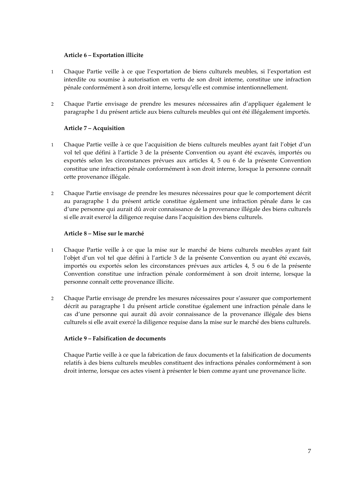## **Article 6 – Exportation illicite**

- 1 Chaque Partie veille à ce que l'exportation de biens culturels meubles, si l'exportation est interdite ou soumise à autorisation en vertu de son droit interne, constitue une infraction pénale conformément à son droit interne, lorsqu'elle est commise intentionnellement.
- 2 Chaque Partie envisage de prendre les mesures nécessaires afin d'appliquer également le paragraphe 1 du présent article aux biens culturels meubles qui ont été illégalement importés.

#### **Article 7 – Acquisition**

- 1 Chaque Partie veille à ce que l'acquisition de biens culturels meubles ayant fait l'objet d'un vol tel que défini à l'article 3 de la présente Convention ou ayant été excavés, importés ou exportés selon les circonstances prévues aux articles 4, 5 ou 6 de la présente Convention constitue une infraction pénale conformément à son droit interne, lorsque la personne connaît cette provenance illégale.
- 2 Chaque Partie envisage de prendre les mesures nécessaires pour que le comportement décrit au paragraphe 1 du présent article constitue également une infraction pénale dans le cas d'une personne qui aurait dû avoir connaissance de la provenance illégale des biens culturels si elle avait exercé la diligence requise dans l'acquisition des biens culturels.

#### **Article 8 – Mise sur le marché**

- 1 Chaque Partie veille à ce que la mise sur le marché de biens culturels meubles ayant fait l'objet d'un vol tel que défini à l'article 3 de la présente Convention ou ayant été excavés, importés ou exportés selon les circonstances prévues aux articles 4, 5 ou 6 de la présente Convention constitue une infraction pénale conformément à son droit interne, lorsque la personne connaît cette provenance illicite.
- 2 Chaque Partie envisage de prendre les mesures nécessaires pour s'assurer que comportement décrit au paragraphe 1 du présent article constitue également une infraction pénale dans le cas d'une personne qui aurait dû avoir connaissance de la provenance illégale des biens culturels si elle avait exercé la diligence requise dans la mise sur le marché des biens culturels.

#### **Article 9 – Falsification de documents**

Chaque Partie veille à ce que la fabrication de faux documents et la falsification de documents relatifs à des biens culturels meubles constituent des infractions pénales conformément à son droit interne, lorsque ces actes visent à présenter le bien comme ayant une provenance licite.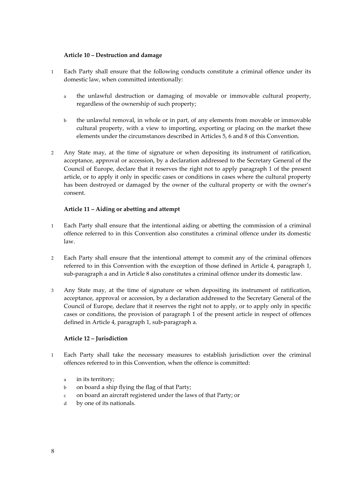#### **Article 10 – Destruction and damage**

- 1 Each Party shall ensure that the following conducts constitute a criminal offence under its domestic law, when committed intentionally:
	- a the unlawful destruction or damaging of movable or immovable cultural property, regardless of the ownership of such property;
	- b the unlawful removal, in whole or in part, of any elements from movable or immovable cultural property, with a view to importing, exporting or placing on the market these elements under the circumstances described in Articles 5, 6 and 8 of this Convention.
- 2 Any State may, at the time of signature or when depositing its instrument of ratification, acceptance, approval or accession, by a declaration addressed to the Secretary General of the Council of Europe, declare that it reserves the right not to apply paragraph 1 of the present article, or to apply it only in specific cases or conditions in cases where the cultural property has been destroyed or damaged by the owner of the cultural property or with the owner's consent.

#### **Article 11 – Aiding or abetting and attempt**

- 1 Each Party shall ensure that the intentional aiding or abetting the commission of a criminal offence referred to in this Convention also constitutes a criminal offence under its domestic law.
- 2 Each Party shall ensure that the intentional attempt to commit any of the criminal offences referred to in this Convention with the exception of those defined in Article 4, paragraph 1, sub-paragraph a and in Article 8 also constitutes a criminal offence under its domestic law.
- 3 Any State may, at the time of signature or when depositing its instrument of ratification, acceptance, approval or accession, by a declaration addressed to the Secretary General of the Council of Europe, declare that it reserves the right not to apply, or to apply only in specific cases or conditions, the provision of paragraph 1 of the present article in respect of offences defined in Article 4, paragraph 1, sub-paragraph a.

## **Article 12 – Jurisdiction**

- 1 Each Party shall take the necessary measures to establish jurisdiction over the criminal offences referred to in this Convention, when the offence is committed:
	- a in its territory;
	- b on board a ship flying the flag of that Party;
	- c on board an aircraft registered under the laws of that Party; or
	- d by one of its nationals.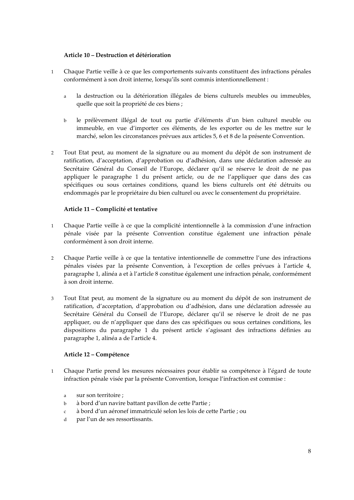## **Article 10 – Destruction et détérioration**

- 1 Chaque Partie veille à ce que les comportements suivants constituent des infractions pénales conformément à son droit interne, lorsqu'ils sont commis intentionnellement :
	- a la destruction ou la détérioration illégales de biens culturels meubles ou immeubles, quelle que soit la propriété de ces biens ;
	- b le prélèvement illégal de tout ou partie d'éléments d'un bien culturel meuble ou immeuble, en vue d'importer ces éléments, de les exporter ou de les mettre sur le marché, selon les circonstances prévues aux articles 5, 6 et 8 de la présente Convention.
- 2 Tout Etat peut, au moment de la signature ou au moment du dépôt de son instrument de ratification, d'acceptation, d'approbation ou d'adhésion, dans une déclaration adressée au Secrétaire Général du Conseil de l'Europe, déclarer qu'il se réserve le droit de ne pas appliquer le paragraphe 1 du présent article, ou de ne l'appliquer que dans des cas spécifiques ou sous certaines conditions, quand les biens culturels ont été détruits ou endommagés par le propriétaire du bien culturel ou avec le consentement du propriétaire.

#### **Article 11 – Complicité et tentative**

- 1 Chaque Partie veille à ce que la complicité intentionnelle à la commission d'une infraction pénale visée par la présente Convention constitue également une infraction pénale conformément à son droit interne.
- 2 Chaque Partie veille à ce que la tentative intentionnelle de commettre l'une des infractions pénales visées par la présente Convention, à l'exception de celles prévues à l'article 4, paragraphe 1, alinéa a et à l'article 8 constitue également une infraction pénale, conformément à son droit interne.
- 3 Tout Etat peut, au moment de la signature ou au moment du dépôt de son instrument de ratification, d'acceptation, d'approbation ou d'adhésion, dans une déclaration adressée au Secrétaire Général du Conseil de l'Europe, déclarer qu'il se réserve le droit de ne pas appliquer, ou de n'appliquer que dans des cas spécifiques ou sous certaines conditions, les dispositions du paragraphe 1 du présent article s'agissant des infractions définies au paragraphe 1, alinéa a de l'article 4.

## **Article 12 – Compétence**

- 1 Chaque Partie prend les mesures nécessaires pour établir sa compétence à l'égard de toute infraction pénale visée par la présente Convention, lorsque l'infraction est commise :
	- a sur son territoire ;
	- b à bord d'un navire battant pavillon de cette Partie ;
	- c à bord d'un aéronef immatriculé selon les lois de cette Partie ; ou
	- d par l'un de ses ressortissants.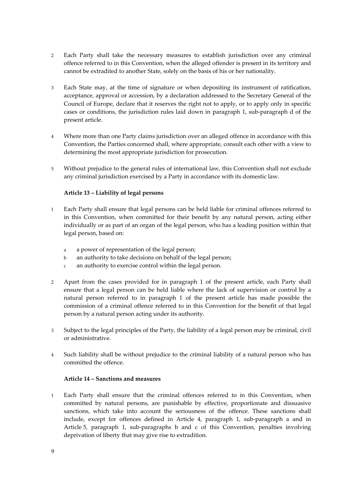- 2 Each Party shall take the necessary measures to establish jurisdiction over any criminal offence referred to in this Convention, when the alleged offender is present in its territory and cannot be extradited to another State, solely on the basis of his or her nationality.
- 3 Each State may, at the time of signature or when depositing its instrument of ratification, acceptance, approval or accession, by a declaration addressed to the Secretary General of the Council of Europe, declare that it reserves the right not to apply, or to apply only in specific cases or conditions, the jurisdiction rules laid down in paragraph 1, sub-paragraph d of the present article.
- 4 Where more than one Party claims jurisdiction over an alleged offence in accordance with this Convention, the Parties concerned shall, where appropriate, consult each other with a view to determining the most appropriate jurisdiction for prosecution.
- 5 Without prejudice to the general rules of international law, this Convention shall not exclude any criminal jurisdiction exercised by a Party in accordance with its domestic law.

## **Article 13 – Liability of legal persons**

- 1 Each Party shall ensure that legal persons can be held liable for criminal offences referred to in this Convention, when committed for their benefit by any natural person, acting either individually or as part of an organ of the legal person, who has a leading position within that legal person, based on:
	- a a power of representation of the legal person;
	- b an authority to take decisions on behalf of the legal person;
	- c an authority to exercise control within the legal person.
- 2 Apart from the cases provided for in paragraph 1 of the present article, each Party shall ensure that a legal person can be held liable where the lack of supervision or control by a natural person referred to in paragraph 1 of the present article has made possible the commission of a criminal offence referred to in this Convention for the benefit of that legal person by a natural person acting under its authority.
- 3 Subject to the legal principles of the Party, the liability of a legal person may be criminal, civil or administrative.
- 4 Such liability shall be without prejudice to the criminal liability of a natural person who has committed the offence.

#### **Article 14 – Sanctions and measures**

1 Each Party shall ensure that the criminal offences referred to in this Convention, when committed by natural persons, are punishable by effective, proportionate and dissuasive sanctions, which take into account the seriousness of the offence. These sanctions shall include, except for offences defined in Article 4, paragraph 1, sub-paragraph a and in Article 5, paragraph 1, sub-paragraphs b and c of this Convention, penalties involving deprivation of liberty that may give rise to extradition.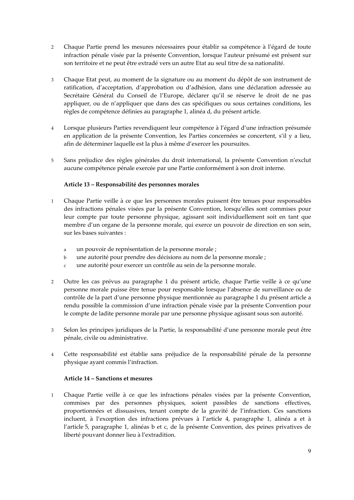- 2 Chaque Partie prend les mesures nécessaires pour établir sa compétence à l'égard de toute infraction pénale visée par la présente Convention, lorsque l'auteur présumé est présent sur son territoire et ne peut être extradé vers un autre Etat au seul titre de sa nationalité.
- 3 Chaque Etat peut, au moment de la signature ou au moment du dépôt de son instrument de ratification, d'acceptation, d'approbation ou d'adhésion, dans une déclaration adressée au Secrétaire Général du Conseil de l'Europe, déclarer qu'il se réserve le droit de ne pas appliquer, ou de n'appliquer que dans des cas spécifiques ou sous certaines conditions, les règles de compétence définies au paragraphe 1, alinéa d, du présent article.
- 4 Lorsque plusieurs Parties revendiquent leur compétence à l'égard d'une infraction présumée en application de la présente Convention, les Parties concernées se concertent, s'il y a lieu, afin de déterminer laquelle est la plus à même d'exercer les poursuites.
- 5 Sans préjudice des règles générales du droit international, la présente Convention n'exclut aucune compétence pénale exercée par une Partie conformément à son droit interne.

## **Article 13 – Responsabilité des personnes morales**

- 1 Chaque Partie veille à ce que les personnes morales puissent être tenues pour responsables des infractions pénales visées par la présente Convention, lorsqu'elles sont commises pour leur compte par toute personne physique, agissant soit individuellement soit en tant que membre d'un organe de la personne morale, qui exerce un pouvoir de direction en son sein, sur les bases suivantes :
	- a un pouvoir de représentation de la personne morale ;
	- b une autorité pour prendre des décisions au nom de la personne morale ;
	- c une autorité pour exercer un contrôle au sein de la personne morale.
- 2 Outre les cas prévus au paragraphe 1 du présent article, chaque Partie veille à ce qu'une personne morale puisse être tenue pour responsable lorsque l'absence de surveillance ou de contrôle de la part d'une personne physique mentionnée au paragraphe 1 du présent article a rendu possible la commission d'une infraction pénale visée par la présente Convention pour le compte de ladite personne morale par une personne physique agissant sous son autorité.
- 3 Selon les principes juridiques de la Partie, la responsabilité d'une personne morale peut être pénale, civile ou administrative.
- 4 Cette responsabilité est établie sans préjudice de la responsabilité pénale de la personne physique ayant commis l'infraction.

## **Article 14 – Sanctions et mesures**

1 Chaque Partie veille à ce que les infractions pénales visées par la présente Convention, commises par des personnes physiques, soient passibles de sanctions effectives, proportionnées et dissuasives, tenant compte de la gravité de l'infraction. Ces sanctions incluent, à l'exception des infractions prévues à l'article 4, paragraphe 1, alinéa a et à l'article 5, paragraphe 1, alinéas b et c, de la présente Convention, des peines privatives de liberté pouvant donner lieu à l'extradition.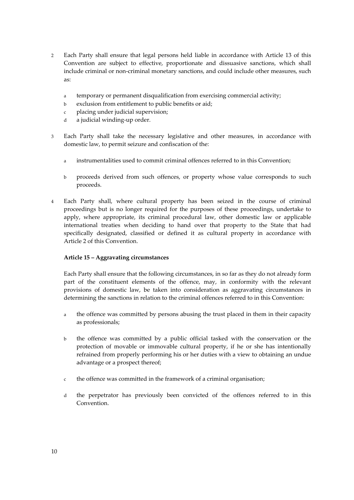- 2 Each Party shall ensure that legal persons held liable in accordance with Article 13 of this Convention are subject to effective, proportionate and dissuasive sanctions, which shall include criminal or non-criminal monetary sanctions, and could include other measures, such as:
	- a temporary or permanent disqualification from exercising commercial activity;
	- b exclusion from entitlement to public benefits or aid;
	- c placing under judicial supervision;
	- d a judicial winding-up order.
- 3 Each Party shall take the necessary legislative and other measures, in accordance with domestic law, to permit seizure and confiscation of the:
	- a instrumentalities used to commit criminal offences referred to in this Convention;
	- b proceeds derived from such offences, or property whose value corresponds to such proceeds.
- 4 Each Party shall, where cultural property has been seized in the course of criminal proceedings but is no longer required for the purposes of these proceedings, undertake to apply, where appropriate, its criminal procedural law, other domestic law or applicable international treaties when deciding to hand over that property to the State that had specifically designated, classified or defined it as cultural property in accordance with Article 2 of this Convention.

## **Article 15 – Aggravating circumstances**

Each Party shall ensure that the following circumstances, in so far as they do not already form part of the constituent elements of the offence, may, in conformity with the relevant provisions of domestic law, be taken into consideration as aggravating circumstances in determining the sanctions in relation to the criminal offences referred to in this Convention:

- a the offence was committed by persons abusing the trust placed in them in their capacity as professionals;
- b the offence was committed by a public official tasked with the conservation or the protection of movable or immovable cultural property, if he or she has intentionally refrained from properly performing his or her duties with a view to obtaining an undue advantage or a prospect thereof;
- c the offence was committed in the framework of a criminal organisation;
- d the perpetrator has previously been convicted of the offences referred to in this Convention.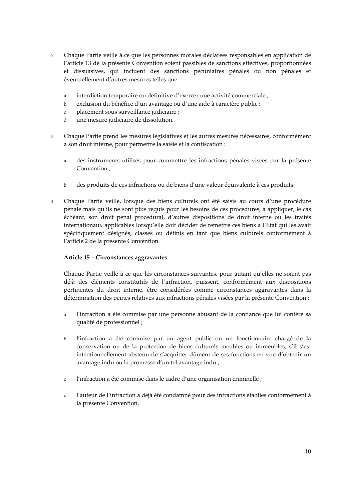- 2 Chaque Partie veille à ce que les personnes morales déclarées responsables en application de l'article 13 de la présente Convention soient passibles de sanctions effectives, proportionnées et dissuasives, qui incluent des sanctions pécuniaires pénales ou non pénales et éventuellement d'autres mesures telles que :
	- a interdiction temporaire ou définitive d'exercer une activité commerciale ;
	- b exclusion du bénéfice d'un avantage ou d'une aide à caractère public ;
	- c placement sous surveillance judiciaire ;
	- d une mesure judiciaire de dissolution.
- 3 Chaque Partie prend les mesures législatives et les autres mesures nécessaires, conformément à son droit interne, pour permettre la saisie et la confiscation :
	- a des instruments utilisés pour commettre les infractions pénales visées par la présente Convention ;
	- b des produits de ces infractions ou de biens d'une valeur équivalente à ces produits.
- 4 Chaque Partie veille, lorsque des biens culturels ont été saisis au cours d'une procédure pénale mais qu'ils ne sont plus requis pour les besoins de ces procédures, à appliquer, le cas échéant, son droit pénal procédural, d'autres dispositions de droit interne ou les traités internationaux applicables lorsqu'elle doit décider de remettre ces biens à l'Etat qui les avait spécifiquement désignés, classés ou définis en tant que biens culturels conformément à l'article 2 de la présente Convention.

## **Article 15 – Circonstances aggravantes**

Chaque Partie veille à ce que les circonstances suivantes, pour autant qu'elles ne soient pas déjà des éléments constitutifs de l'infraction, puissent, conformément aux dispositions pertinentes du droit interne, être considérées comme circonstances aggravantes dans la détermination des peines relatives aux infractions pénales visées par la présente Convention :

- a l'infraction a été commise par une personne abusant de la confiance que lui confère sa qualité de professionnel ;
- b l'infraction a été commise par un agent public ou un fonctionnaire chargé de la conservation ou de la protection de biens culturels meubles ou immeubles, s'il s'est intentionnellement abstenu de s'acquitter dûment de ses fonctions en vue d'obtenir un avantage indu ou la promesse d'un tel avantage indu ;
- c l'infraction a été commise dans le cadre d'une organisation criminelle ;
- d l'auteur de l'infraction a déjà été condamné pour des infractions établies conformément à la présente Convention.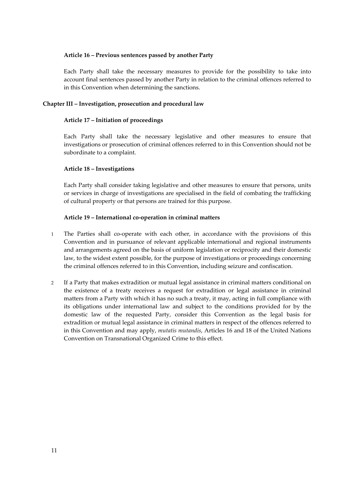#### **Article 16 – Previous sentences passed by another Party**

Each Party shall take the necessary measures to provide for the possibility to take into account final sentences passed by another Party in relation to the criminal offences referred to in this Convention when determining the sanctions.

#### **Chapter III – Investigation, prosecution and procedural law**

#### **Article 17 – Initiation of proceedings**

Each Party shall take the necessary legislative and other measures to ensure that investigations or prosecution of criminal offences referred to in this Convention should not be subordinate to a complaint.

#### **Article 18 – Investigations**

Each Party shall consider taking legislative and other measures to ensure that persons, units or services in charge of investigations are specialised in the field of combating the trafficking of cultural property or that persons are trained for this purpose.

#### **Article 19 – International co-operation in criminal matters**

- 1 The Parties shall co-operate with each other, in accordance with the provisions of this Convention and in pursuance of relevant applicable international and regional instruments and arrangements agreed on the basis of uniform legislation or reciprocity and their domestic law, to the widest extent possible, for the purpose of investigations or proceedings concerning the criminal offences referred to in this Convention, including seizure and confiscation.
- 2 If a Party that makes extradition or mutual legal assistance in criminal matters conditional on the existence of a treaty receives a request for extradition or legal assistance in criminal matters from a Party with which it has no such a treaty, it may, acting in full compliance with its obligations under international law and subject to the conditions provided for by the domestic law of the requested Party, consider this Convention as the legal basis for extradition or mutual legal assistance in criminal matters in respect of the offences referred to in this Convention and may apply, *mutatis mutandis*, Articles 16 and 18 of the United Nations Convention on Transnational Organized Crime to this effect.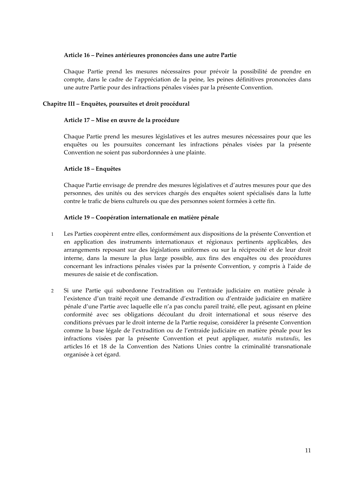## **Article 16 – Peines antérieures prononcées dans une autre Partie**

Chaque Partie prend les mesures nécessaires pour prévoir la possibilité de prendre en compte, dans le cadre de l'appréciation de la peine, les peines définitives prononcées dans une autre Partie pour des infractions pénales visées par la présente Convention.

## **Chapitre III – Enquêtes, poursuites et droit procédural**

#### **Article 17 – Mise en œuvre de la procédure**

Chaque Partie prend les mesures législatives et les autres mesures nécessaires pour que les enquêtes ou les poursuites concernant les infractions pénales visées par la présente Convention ne soient pas subordonnées à une plainte.

#### **Article 18 – Enquêtes**

Chaque Partie envisage de prendre des mesures législatives et d'autres mesures pour que des personnes, des unités ou des services chargés des enquêtes soient spécialisés dans la lutte contre le trafic de biens culturels ou que des personnes soient formées à cette fin.

#### **Article 19 – Coopération internationale en matière pénale**

- 1 Les Parties coopèrent entre elles, conformément aux dispositions de la présente Convention et en application des instruments internationaux et régionaux pertinents applicables, des arrangements reposant sur des législations uniformes ou sur la réciprocité et de leur droit interne, dans la mesure la plus large possible, aux fins des enquêtes ou des procédures concernant les infractions pénales visées par la présente Convention, y compris à l'aide de mesures de saisie et de confiscation.
- 2 Si une Partie qui subordonne l'extradition ou l'entraide judiciaire en matière pénale à l'existence d'un traité reçoit une demande d'extradition ou d'entraide judiciaire en matière pénale d'une Partie avec laquelle elle n'a pas conclu pareil traité, elle peut, agissant en pleine conformité avec ses obligations découlant du droit international et sous réserve des conditions prévues par le droit interne de la Partie requise, considérer la présente Convention comme la base légale de l'extradition ou de l'entraide judiciaire en matière pénale pour les infractions visées par la présente Convention et peut appliquer, *mutatis mutandis*, les articles 16 et 18 de la Convention des Nations Unies contre la criminalité transnationale organisée à cet égard.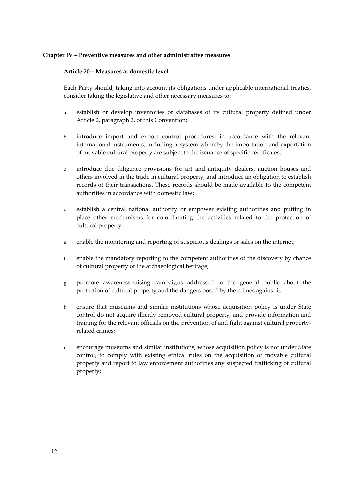#### **Chapter IV – Preventive measures and other administrative measures**

#### **Article 20 – Measures at domestic level**

Each Party should, taking into account its obligations under applicable international treaties, consider taking the legislative and other necessary measures to:

- a establish or develop inventories or databases of its cultural property defined under Article 2, paragraph 2, of this Convention;
- b introduce import and export control procedures, in accordance with the relevant international instruments, including a system whereby the importation and exportation of movable cultural property are subject to the issuance of specific certificates;
- c introduce due diligence provisions for art and antiquity dealers, auction houses and others involved in the trade in cultural property, and introduce an obligation to establish records of their transactions. These records should be made available to the competent authorities in accordance with domestic law;
- d establish a central national authority or empower existing authorities and putting in place other mechanisms for co-ordinating the activities related to the protection of cultural property;
- e enable the monitoring and reporting of suspicious dealings or sales on the internet;
- f enable the mandatory reporting to the competent authorities of the discovery by chance of cultural property of the archaeological heritage;
- g promote awareness-raising campaigns addressed to the general public about the protection of cultural property and the dangers posed by the crimes against it;
- h ensure that museums and similar institutions whose acquisition policy is under State control do not acquire illicitly removed cultural property, and provide information and training for the relevant officials on the prevention of and fight against cultural propertyrelated crimes;
- i encourage museums and similar institutions, whose acquisition policy is not under State control, to comply with existing ethical rules on the acquisition of movable cultural property and report to law enforcement authorities any suspected trafficking of cultural property;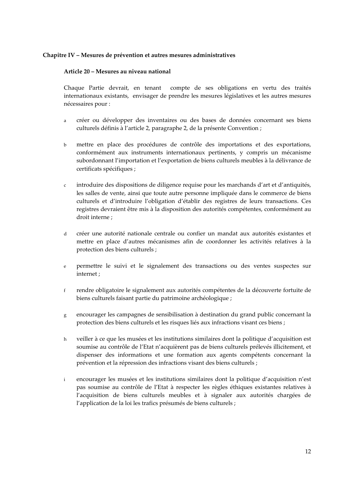#### **Chapitre IV – Mesures de prévention et autres mesures administratives**

#### **Article 20 – Mesures au niveau national**

Chaque Partie devrait, en tenant compte de ses obligations en vertu des traités internationaux existants, envisager de prendre les mesures législatives et les autres mesures nécessaires pour :

- a créer ou développer des inventaires ou des bases de données concernant ses biens culturels définis à l'article 2, paragraphe 2, de la présente Convention ;
- b mettre en place des procédures de contrôle des importations et des exportations, conformément aux instruments internationaux pertinents, y compris un mécanisme subordonnant l'importation et l'exportation de biens culturels meubles à la délivrance de certificats spécifiques ;
- c introduire des dispositions de diligence requise pour les marchands d'art et d'antiquités, les salles de vente, ainsi que toute autre personne impliquée dans le commerce de biens culturels et d'introduire l'obligation d'établir des registres de leurs transactions. Ces registres devraient être mis à la disposition des autorités compétentes, conformément au droit interne ;
- d créer une autorité nationale centrale ou confier un mandat aux autorités existantes et mettre en place d'autres mécanismes afin de coordonner les activités relatives à la protection des biens culturels ;
- e permettre le suivi et le signalement des transactions ou des ventes suspectes sur internet ;
- f rendre obligatoire le signalement aux autorités compétentes de la découverte fortuite de biens culturels faisant partie du patrimoine archéologique ;
- g encourager les campagnes de sensibilisation à destination du grand public concernant la protection des biens culturels et les risques liés aux infractions visant ces biens ;
- h veiller à ce que les musées et les institutions similaires dont la politique d'acquisition est soumise au contrôle de l'Etat n'acquièrent pas de biens culturels prélevés illicitement, et dispenser des informations et une formation aux agents compétents concernant la prévention et la répression des infractions visant des biens culturels ;
- i encourager les musées et les institutions similaires dont la politique d'acquisition n'est pas soumise au contrôle de l'Etat à respecter les règles éthiques existantes relatives à l'acquisition de biens culturels meubles et à signaler aux autorités chargées de l'application de la loi les trafics présumés de biens culturels ;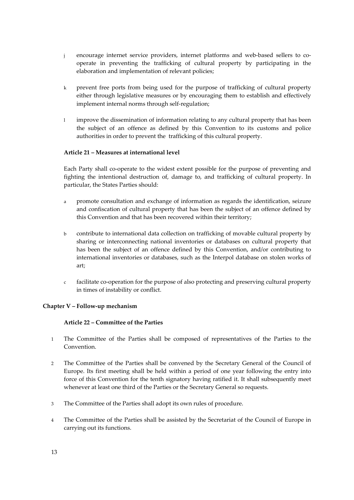- j encourage internet service providers, internet platforms and web-based sellers to cooperate in preventing the trafficking of cultural property by participating in the elaboration and implementation of relevant policies;
- k prevent free ports from being used for the purpose of trafficking of cultural property either through legislative measures or by encouraging them to establish and effectively implement internal norms through self-regulation;
- l improve the dissemination of information relating to any cultural property that has been the subject of an offence as defined by this Convention to its customs and police authorities in order to prevent the trafficking of this cultural property.

## **Article 21 – Measures at international level**

Each Party shall co-operate to the widest extent possible for the purpose of preventing and fighting the intentional destruction of, damage to, and trafficking of cultural property. In particular, the States Parties should:

- a promote consultation and exchange of information as regards the identification, seizure and confiscation of cultural property that has been the subject of an offence defined by this Convention and that has been recovered within their territory;
- b contribute to international data collection on trafficking of movable cultural property by sharing or interconnecting national inventories or databases on cultural property that has been the subject of an offence defined by this Convention, and/or contributing to international inventories or databases, such as the Interpol database on stolen works of art;
- c facilitate co-operation for the purpose of also protecting and preserving cultural property in times of instability or conflict.

## **Chapter V – Follow-up mechanism**

## **Article 22 – Committee of the Parties**

- 1 The Committee of the Parties shall be composed of representatives of the Parties to the Convention.
- 2 The Committee of the Parties shall be convened by the Secretary General of the Council of Europe. Its first meeting shall be held within a period of one year following the entry into force of this Convention for the tenth signatory having ratified it. It shall subsequently meet whenever at least one third of the Parties or the Secretary General so requests.
- 3 The Committee of the Parties shall adopt its own rules of procedure.
- 4 The Committee of the Parties shall be assisted by the Secretariat of the Council of Europe in carrying out its functions.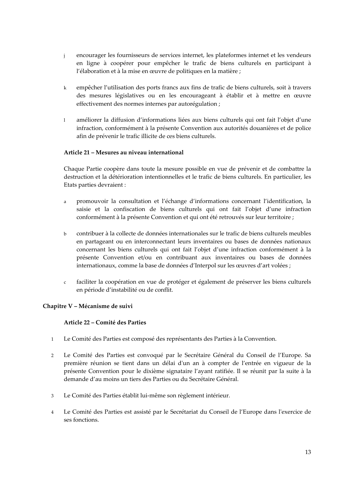- j encourager les fournisseurs de services internet, les plateformes internet et les vendeurs en ligne à coopérer pour empêcher le trafic de biens culturels en participant à l'élaboration et à la mise en œuvre de politiques en la matière ;
- k empêcher l'utilisation des ports francs aux fins de trafic de biens culturels, soit à travers des mesures législatives ou en les encourageant à établir et à mettre en œuvre effectivement des normes internes par autorégulation ;
- l améliorer la diffusion d'informations liées aux biens culturels qui ont fait l'objet d'une infraction, conformément à la présente Convention aux autorités douanières et de police afin de prévenir le trafic illicite de ces biens culturels.

## **Article 21 – Mesures au niveau international**

Chaque Partie coopère dans toute la mesure possible en vue de prévenir et de combattre la destruction et la détérioration intentionnelles et le trafic de biens culturels. En particulier, les Etats parties devraient :

- a promouvoir la consultation et l'échange d'informations concernant l'identification, la saisie et la confiscation de biens culturels qui ont fait l'objet d'une infraction conformément à la présente Convention et qui ont été retrouvés sur leur territoire ;
- b contribuer à la collecte de données internationales sur le trafic de biens culturels meubles en partageant ou en interconnectant leurs inventaires ou bases de données nationaux concernant les biens culturels qui ont fait l'objet d'une infraction conformément à la présente Convention et/ou en contribuant aux inventaires ou bases de données internationaux, comme la base de données d'Interpol sur les œuvres d'art volées ;
- c faciliter la coopération en vue de protéger et également de préserver les biens culturels en période d'instabilité ou de conflit.

## **Chapitre V – Mécanisme de suivi**

## **Article 22 – Comité des Parties**

- 1 Le Comité des Parties est composé des représentants des Parties à la Convention.
- 2 Le Comité des Parties est convoqué par le Secrétaire Général du Conseil de l'Europe. Sa première réunion se tient dans un délai d'un an à compter de l'entrée en vigueur de la présente Convention pour le dixième signataire l'ayant ratifiée. Il se réunit par la suite à la demande d'au moins un tiers des Parties ou du Secrétaire Général.
- 3 Le Comité des Parties établit lui-même son règlement intérieur.
- 4 Le Comité des Parties est assisté par le Secrétariat du Conseil de l'Europe dans l'exercice de ses fonctions.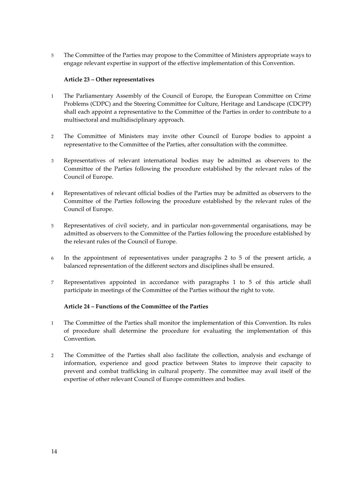5 The Committee of the Parties may propose to the Committee of Ministers appropriate ways to engage relevant expertise in support of the effective implementation of this Convention.

## **Article 23 – Other representatives**

- 1 The Parliamentary Assembly of the Council of Europe, the European Committee on Crime Problems (CDPC) and the Steering Committee for Culture, Heritage and Landscape (CDCPP) shall each appoint a representative to the Committee of the Parties in order to contribute to a multisectoral and multidisciplinary approach.
- 2 The Committee of Ministers may invite other Council of Europe bodies to appoint a representative to the Committee of the Parties, after consultation with the committee.
- 3 Representatives of relevant international bodies may be admitted as observers to the Committee of the Parties following the procedure established by the relevant rules of the Council of Europe.
- 4 Representatives of relevant official bodies of the Parties may be admitted as observers to the Committee of the Parties following the procedure established by the relevant rules of the Council of Europe.
- 5 Representatives of civil society, and in particular non-governmental organisations, may be admitted as observers to the Committee of the Parties following the procedure established by the relevant rules of the Council of Europe.
- 6 In the appointment of representatives under paragraphs 2 to 5 of the present article, a balanced representation of the different sectors and disciplines shall be ensured.
- 7 Representatives appointed in accordance with paragraphs 1 to 5 of this article shall participate in meetings of the Committee of the Parties without the right to vote.

#### **Article 24 – Functions of the Committee of the Parties**

- 1 The Committee of the Parties shall monitor the implementation of this Convention. Its rules of procedure shall determine the procedure for evaluating the implementation of this Convention.
- 2 The Committee of the Parties shall also facilitate the collection, analysis and exchange of information, experience and good practice between States to improve their capacity to prevent and combat trafficking in cultural property. The committee may avail itself of the expertise of other relevant Council of Europe committees and bodies.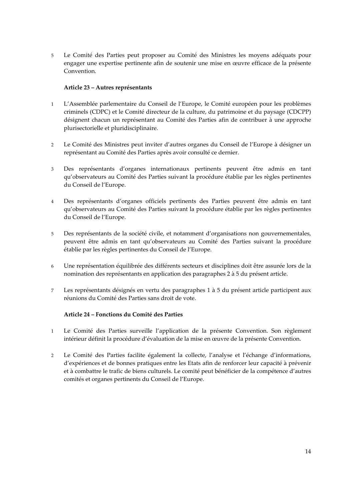5 Le Comité des Parties peut proposer au Comité des Ministres les moyens adéquats pour engager une expertise pertinente afin de soutenir une mise en œuvre efficace de la présente Convention.

## **Article 23 – Autres représentants**

- 1 L'Assemblée parlementaire du Conseil de l'Europe, le Comité européen pour les problèmes criminels (CDPC) et le Comité directeur de la culture, du patrimoine et du paysage (CDCPP) désignent chacun un représentant au Comité des Parties afin de contribuer à une approche plurisectorielle et pluridisciplinaire.
- 2 Le Comité des Ministres peut inviter d'autres organes du Conseil de l'Europe à désigner un représentant au Comité des Parties après avoir consulté ce dernier.
- 3 Des représentants d'organes internationaux pertinents peuvent être admis en tant qu'observateurs au Comité des Parties suivant la procédure établie par les règles pertinentes du Conseil de l'Europe.
- 4 Des représentants d'organes officiels pertinents des Parties peuvent être admis en tant qu'observateurs au Comité des Parties suivant la procédure établie par les règles pertinentes du Conseil de l'Europe.
- 5 Des représentants de la société civile, et notamment d'organisations non gouvernementales, peuvent être admis en tant qu'observateurs au Comité des Parties suivant la procédure établie par les règles pertinentes du Conseil de l'Europe.
- 6 Une représentation équilibrée des différents secteurs et disciplines doit être assurée lors de la nomination des représentants en application des paragraphes 2 à 5 du présent article.
- 7 Les représentants désignés en vertu des paragraphes 1 à 5 du présent article participent aux réunions du Comité des Parties sans droit de vote.

## **Article 24 – Fonctions du Comité des Parties**

- 1 Le Comité des Parties surveille l'application de la présente Convention. Son règlement intérieur définit la procédure d'évaluation de la mise en œuvre de la présente Convention.
- 2 Le Comité des Parties facilite également la collecte, l'analyse et l'échange d'informations, d'expériences et de bonnes pratiques entre les Etats afin de renforcer leur capacité à prévenir et à combattre le trafic de biens culturels. Le comité peut bénéficier de la compétence d'autres comités et organes pertinents du Conseil de l'Europe.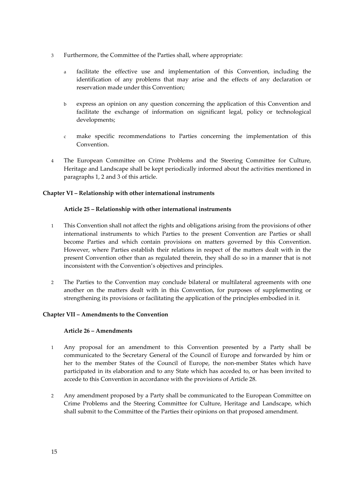- 3 Furthermore, the Committee of the Parties shall, where appropriate:
	- a facilitate the effective use and implementation of this Convention, including the identification of any problems that may arise and the effects of any declaration or reservation made under this Convention;
	- b express an opinion on any question concerning the application of this Convention and facilitate the exchange of information on significant legal, policy or technological developments;
	- c make specific recommendations to Parties concerning the implementation of this Convention.
- 4 The European Committee on Crime Problems and the Steering Committee for Culture, Heritage and Landscape shall be kept periodically informed about the activities mentioned in paragraphs 1, 2 and 3 of this article.

## **Chapter VI – Relationship with other international instruments**

## **Article 25 – Relationship with other international instruments**

- 1 This Convention shall not affect the rights and obligations arising from the provisions of other international instruments to which Parties to the present Convention are Parties or shall become Parties and which contain provisions on matters governed by this Convention. However, where Parties establish their relations in respect of the matters dealt with in the present Convention other than as regulated therein, they shall do so in a manner that is not inconsistent with the Convention's objectives and principles.
- 2 The Parties to the Convention may conclude bilateral or multilateral agreements with one another on the matters dealt with in this Convention, for purposes of supplementing or strengthening its provisions or facilitating the application of the principles embodied in it.

## **Chapter VII – Amendments to the Convention**

## **Article 26 – Amendments**

- 1 Any proposal for an amendment to this Convention presented by a Party shall be communicated to the Secretary General of the Council of Europe and forwarded by him or her to the member States of the Council of Europe, the non-member States which have participated in its elaboration and to any State which has acceded to, or has been invited to accede to this Convention in accordance with the provisions of Article 28.
- 2 Any amendment proposed by a Party shall be communicated to the European Committee on Crime Problems and the Steering Committee for Culture, Heritage and Landscape, which shall submit to the Committee of the Parties their opinions on that proposed amendment.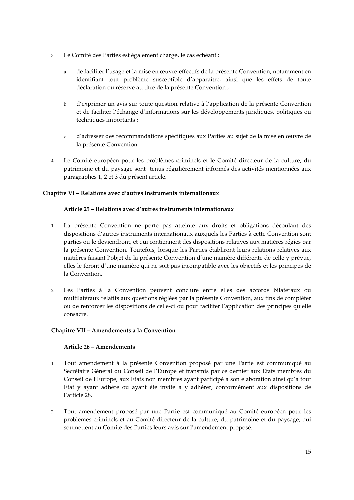- 3 Le Comité des Parties est également chargé, le cas échéant :
	- a de faciliter l'usage et la mise en œuvre effectifs de la présente Convention, notamment en identifiant tout problème susceptible d'apparaître, ainsi que les effets de toute déclaration ou réserve au titre de la présente Convention ;
	- b d'exprimer un avis sur toute question relative à l'application de la présente Convention et de faciliter l'échange d'informations sur les développements juridiques, politiques ou techniques importants ;
	- c d'adresser des recommandations spécifiques aux Parties au sujet de la mise en œuvre de la présente Convention.
- 4 Le Comité européen pour les problèmes criminels et le Comité directeur de la culture, du patrimoine et du paysage sont tenus régulièrement informés des activités mentionnées aux paragraphes 1, 2 et 3 du présent article.

## **Chapitre VI – Relations avec d'autres instruments internationaux**

## **Article 25 – Relations avec d'autres instruments internationaux**

- 1 La présente Convention ne porte pas atteinte aux droits et obligations découlant des dispositions d'autres instruments internationaux auxquels les Parties à cette Convention sont parties ou le deviendront, et qui contiennent des dispositions relatives aux matières régies par la présente Convention. Toutefois, lorsque les Parties établiront leurs relations relatives aux matières faisant l'objet de la présente Convention d'une manière différente de celle y prévue, elles le feront d'une manière qui ne soit pas incompatible avec les objectifs et les principes de la Convention.
- 2 Les Parties à la Convention peuvent conclure entre elles des accords bilatéraux ou multilatéraux relatifs aux questions réglées par la présente Convention, aux fins de compléter ou de renforcer les dispositions de celle-ci ou pour faciliter l'application des principes qu'elle consacre.

## **Chapitre VII – Amendements à la Convention**

## **Article 26 – Amendements**

- 1 Tout amendement à la présente Convention proposé par une Partie est communiqué au Secrétaire Général du Conseil de l'Europe et transmis par ce dernier aux Etats membres du Conseil de l'Europe, aux Etats non membres ayant participé à son élaboration ainsi qu'à tout Etat y ayant adhéré ou ayant été invité à y adhérer, conformément aux dispositions de l'article 28.
- 2 Tout amendement proposé par une Partie est communiqué au Comité européen pour les problèmes criminels et au Comité directeur de la culture, du patrimoine et du paysage, qui soumettent au Comité des Parties leurs avis sur l'amendement proposé.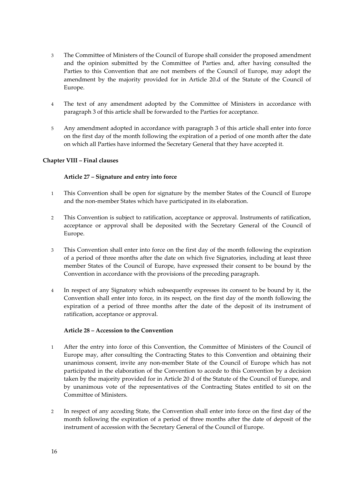- 3 The Committee of Ministers of the Council of Europe shall consider the proposed amendment and the opinion submitted by the Committee of Parties and, after having consulted the Parties to this Convention that are not members of the Council of Europe, may adopt the amendment by the majority provided for in Article 20.d of the Statute of the Council of Europe.
- 4 The text of any amendment adopted by the Committee of Ministers in accordance with paragraph 3 of this article shall be forwarded to the Parties for acceptance.
- 5 Any amendment adopted in accordance with paragraph 3 of this article shall enter into force on the first day of the month following the expiration of a period of one month after the date on which all Parties have informed the Secretary General that they have accepted it.

## **Chapter VIII – Final clauses**

## **Article 27 – Signature and entry into force**

- 1 This Convention shall be open for signature by the member States of the Council of Europe and the non-member States which have participated in its elaboration.
- 2 This Convention is subject to ratification, acceptance or approval. Instruments of ratification, acceptance or approval shall be deposited with the Secretary General of the Council of Europe.
- 3 This Convention shall enter into force on the first day of the month following the expiration of a period of three months after the date on which five Signatories, including at least three member States of the Council of Europe, have expressed their consent to be bound by the Convention in accordance with the provisions of the preceding paragraph.
- 4 In respect of any Signatory which subsequently expresses its consent to be bound by it, the Convention shall enter into force, in its respect, on the first day of the month following the expiration of a period of three months after the date of the deposit of its instrument of ratification, acceptance or approval.

## **Article 28 – Accession to the Convention**

- 1 After the entry into force of this Convention, the Committee of Ministers of the Council of Europe may, after consulting the Contracting States to this Convention and obtaining their unanimous consent, invite any non-member State of the Council of Europe which has not participated in the elaboration of the Convention to accede to this Convention by a decision taken by the majority provided for in Article 20 d of the Statute of the Council of Europe, and by unanimous vote of the representatives of the Contracting States entitled to sit on the Committee of Ministers.
- 2 In respect of any acceding State, the Convention shall enter into force on the first day of the month following the expiration of a period of three months after the date of deposit of the instrument of accession with the Secretary General of the Council of Europe.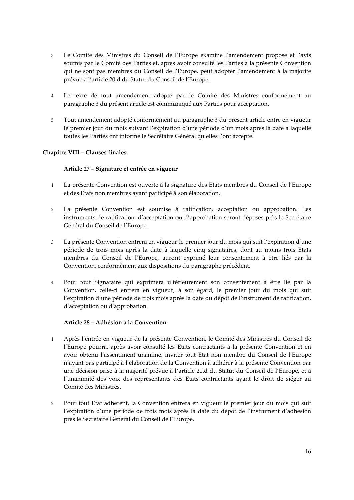- 3 Le Comité des Ministres du Conseil de l'Europe examine l'amendement proposé et l'avis soumis par le Comité des Parties et, après avoir consulté les Parties à la présente Convention qui ne sont pas membres du Conseil de l'Europe, peut adopter l'amendement à la majorité prévue à l'article 20.d du Statut du Conseil de l'Europe.
- 4 Le texte de tout amendement adopté par le Comité des Ministres conformément au paragraphe 3 du présent article est communiqué aux Parties pour acceptation.
- 5 Tout amendement adopté conformément au paragraphe 3 du présent article entre en vigueur le premier jour du mois suivant l'expiration d'une période d'un mois après la date à laquelle toutes les Parties ont informé le Secrétaire Général qu'elles l'ont accepté.

## **Chapitre VIII – Clauses finales**

## **Article 27 – Signature et entrée en vigueur**

- 1 La présente Convention est ouverte à la signature des Etats membres du Conseil de l'Europe et des Etats non membres ayant participé à son élaboration.
- 2 La présente Convention est soumise à ratification, acceptation ou approbation. Les instruments de ratification, d'acceptation ou d'approbation seront déposés près le Secrétaire Général du Conseil de l'Europe.
- 3 La présente Convention entrera en vigueur le premier jour du mois qui suit l'expiration d'une période de trois mois après la date à laquelle cinq signataires, dont au moins trois Etats membres du Conseil de l'Europe, auront exprimé leur consentement à être liés par la Convention, conformément aux dispositions du paragraphe précédent.
- 4 Pour tout Signataire qui exprimera ultérieurement son consentement à être lié par la Convention, celle-ci entrera en vigueur, à son égard, le premier jour du mois qui suit l'expiration d'une période de trois mois après la date du dépôt de l'instrument de ratification, d'acceptation ou d'approbation.

## **Article 28 – Adhésion à la Convention**

- 1 Après l'entrée en vigueur de la présente Convention, le Comité des Ministres du Conseil de l'Europe pourra, après avoir consulté les Etats contractants à la présente Convention et en avoir obtenu l'assentiment unanime, inviter tout Etat non membre du Conseil de l'Europe n'ayant pas participé à l'élaboration de la Convention à adhérer à la présente Convention par une décision prise à la majorité prévue à l'article 20.d du Statut du Conseil de l'Europe, et à l'unanimité des voix des représentants des Etats contractants ayant le droit de siéger au Comité des Ministres.
- 2 Pour tout Etat adhérent, la Convention entrera en vigueur le premier jour du mois qui suit l'expiration d'une période de trois mois après la date du dépôt de l'instrument d'adhésion près le Secrétaire Général du Conseil de l'Europe.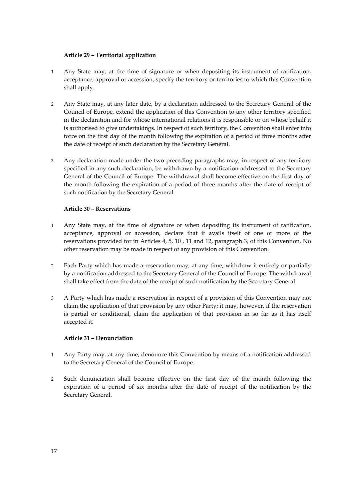## **Article 29 – Territorial application**

- 1 Any State may, at the time of signature or when depositing its instrument of ratification, acceptance, approval or accession, specify the territory or territories to which this Convention shall apply.
- 2 Any State may, at any later date, by a declaration addressed to the Secretary General of the Council of Europe, extend the application of this Convention to any other territory specified in the declaration and for whose international relations it is responsible or on whose behalf it is authorised to give undertakings. In respect of such territory, the Convention shall enter into force on the first day of the month following the expiration of a period of three months after the date of receipt of such declaration by the Secretary General.
- 3 Any declaration made under the two preceding paragraphs may, in respect of any territory specified in any such declaration, be withdrawn by a notification addressed to the Secretary General of the Council of Europe. The withdrawal shall become effective on the first day of the month following the expiration of a period of three months after the date of receipt of such notification by the Secretary General.

#### **Article 30 – Reservations**

- 1 Any State may, at the time of signature or when depositing its instrument of ratification, acceptance, approval or accession, declare that it avails itself of one or more of the reservations provided for in Articles 4, 5, 10 , 11 and 12, paragraph 3, of this Convention. No other reservation may be made in respect of any provision of this Convention.
- 2 Each Party which has made a reservation may, at any time, withdraw it entirely or partially by a notification addressed to the Secretary General of the Council of Europe. The withdrawal shall take effect from the date of the receipt of such notification by the Secretary General.
- 3 A Party which has made a reservation in respect of a provision of this Convention may not claim the application of that provision by any other Party; it may, however, if the reservation is partial or conditional, claim the application of that provision in so far as it has itself accepted it.

## **Article 31 – Denunciation**

- 1 Any Party may, at any time, denounce this Convention by means of a notification addressed to the Secretary General of the Council of Europe.
- 2 Such denunciation shall become effective on the first day of the month following the expiration of a period of six months after the date of receipt of the notification by the Secretary General.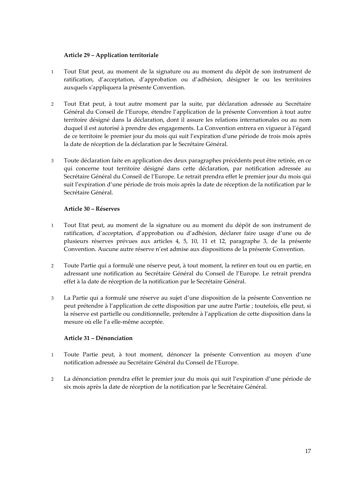## **Article 29 – Application territoriale**

- 1 Tout Etat peut, au moment de la signature ou au moment du dépôt de son instrument de ratification, d'acceptation, d'approbation ou d'adhésion, désigner le ou les territoires auxquels s'appliquera la présente Convention.
- 2 Tout Etat peut, à tout autre moment par la suite, par déclaration adressée au Secrétaire Général du Conseil de l'Europe, étendre l'application de la présente Convention à tout autre territoire désigné dans la déclaration, dont il assure les relations internationales ou au nom duquel il est autorisé à prendre des engagements. La Convention entrera en vigueur à l'égard de ce territoire le premier jour du mois qui suit l'expiration d'une période de trois mois après la date de réception de la déclaration par le Secrétaire Général.
- 3 Toute déclaration faite en application des deux paragraphes précédents peut être retirée, en ce qui concerne tout territoire désigné dans cette déclaration, par notification adressée au Secrétaire Général du Conseil de l'Europe. Le retrait prendra effet le premier jour du mois qui suit l'expiration d'une période de trois mois après la date de réception de la notification par le Secrétaire Général.

## **Article 30 – Réserves**

- 1 Tout Etat peut, au moment de la signature ou au moment du dépôt de son instrument de ratification, d'acceptation, d'approbation ou d'adhésion, déclarer faire usage d'une ou de plusieurs réserves prévues aux articles 4, 5, 10, 11 et 12, paragraphe 3, de la présente Convention. Aucune autre réserve n'est admise aux dispositions de la présente Convention.
- 2 Toute Partie qui a formulé une réserve peut, à tout moment, la retirer en tout ou en partie, en adressant une notification au Secrétaire Général du Conseil de l'Europe. Le retrait prendra effet à la date de réception de la notification par le Secrétaire Général.
- 3 La Partie qui a formulé une réserve au sujet d'une disposition de la présente Convention ne peut prétendre à l'application de cette disposition par une autre Partie ; toutefois, elle peut, si la réserve est partielle ou conditionnelle, prétendre à l'application de cette disposition dans la mesure où elle l'a elle-même acceptée.

# **Article 31 – Dénonciation**

- 1 Toute Partie peut, à tout moment, dénoncer la présente Convention au moyen d'une notification adressée au Secrétaire Général du Conseil de l'Europe.
- 2 La dénonciation prendra effet le premier jour du mois qui suit l'expiration d'une période de six mois après la date de réception de la notification par le Secrétaire Général.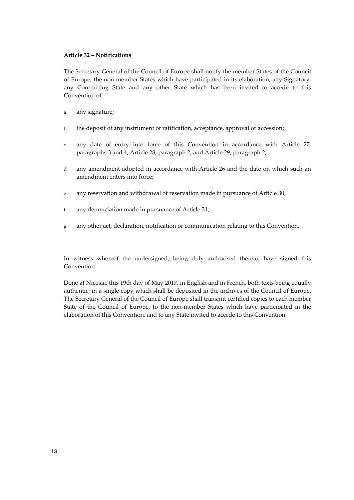#### **Article 32 – Notifications**

The Secretary General of the Council of Europe shall notify the member States of the Council of Europe, the non-member States which have participated in its elaboration, any Signatory, any Contracting State and any other State which has been invited to accede to this Convention of:

- a any signature;
- b the deposit of any instrument of ratification, acceptance, approval or accession;
- c any date of entry into force of this Convention in accordance with Article 27, paragraphs 3 and 4; Article 28, paragraph 2, and Article 29, paragraph 2;
- d any amendment adopted in accordance with Article 26 and the date on which such an amendment enters into force;
- e any reservation and withdrawal of reservation made in pursuance of Article 30;
- f any denunciation made in pursuance of Article 31;
- g any other act, declaration, notification or communication relating to this Convention.

In witness whereof the undersigned, being duly authorised thereto, have signed this Convention.

Done at Nicosia, this 19th day of May 2017, in English and in French, both texts being equally authentic, in a single copy which shall be deposited in the archives of the Council of Europe. The Secretary General of the Council of Europe shall transmit certified copies to each member State of the Council of Europe, to the non-member States which have participated in the elaboration of this Convention, and to any State invited to accede to this Convention.